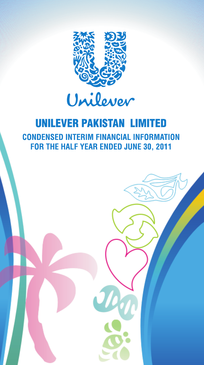

# **UNILEVER PAKISTAN LIMITED CONDENSED INTERIM FINANCIAL INFORMATION** FOR THE HALF YEAR ENDED JUNE 30, 2011

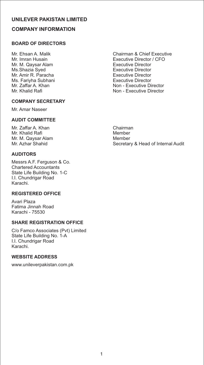# **UNILEVER PAKISTAN LIMITED COMPANY INFORMATION**

# **BOARD OF DIRECTORS**

Mr. M. Qaysar Alam Executive Director Ms.Shazia Syed<br>
Mr. Amir R. Paracha<br>
Executive Director Mr. Amir R. Paracha Executive Director Ms. Fariyha Subhani<br>Mr. Zaffar A. Khan

#### **COMPANY SECRETARY**

Mr. Amar Naseer

# **AUDIT COMMITTEE**

Mr. Zaffar A. Khan Chairman Mr. Khalid Rafi Mr. M. Qaysar Alam Member<br>Mr. Azhar Shahid Mr. Secretar

# **AUDITORS**

Messrs A.F. Ferguson & Co. Chartered Accountants State Life Building No. 1-C I.I. Chundrigar Road Karachi.

#### **REGISTERED OFFICE**

Avari Plaza Fatima Jinnah Road Karachi - 75530

# **SHARE REGISTRATION OFFICE**

C/o Famco Associates (Pvt) Limited State Life Building No. 1-A I.I. Chundrigar Road Karachi.

# **WEBSITE ADDRESS**

www.unileverpakistan.com.pk

Mr. Ehsan A. Malik Chairman & Chief Executive<br>Mr. Imran Husain Chairman & Chief Executive Director / CFO Executive Director / CFO<br>Executive Director Mr. Zaffar A. Khan Non - Executive Director<br>Mr. Khalid Rafi Non - Executive Director Non - Executive Director

Secretary & Head of Internal Audit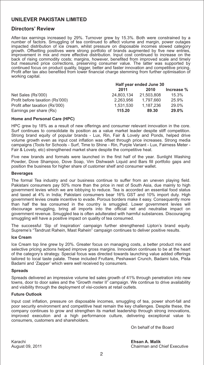#### **Directors' Review**

After-tax earnings increased by 29%. Turnover grew by 15.3%. Both were constrained by a number of factors. Smuggling of tea continued to affect volume and margin, power outages impacted distribution of ice cream, whilst pressure on disposable incomes slowed category growth. Offsetting positives were strong portfolio of brands augmented by five new entries, improvement in mix and more effective distribution. Input cost continued to increase on the back of rising commodity costs; margins, however, benefited from improved scale and timely but measured price corrections, preserving consumer value. The latter was supported by continued focus on product quality, bigger, better and faster innovation and competitive pricing. Profit after tax also benefited from lower financial charge stemming from further optimisation of working capital.

|                                 | Half year ended June 30 |            |            |  |
|---------------------------------|-------------------------|------------|------------|--|
|                                 | 2011                    | 2010       | Increase % |  |
| Net Sales (Rs'000)              | 24.803.134              | 21.503.808 | 15.3%      |  |
| Profit before taxation (Rs'000) | 2.263.956               | 1.797.660  | 25.9%      |  |
| Profit after taxation (Rs'000)  | 1.531.530               | 1.187.236  | 29.0%      |  |
| Earnings per share (Rs)         | 115.20                  | 89.30      | 29.0%      |  |

#### **Home and Personal Care (HPC)**

HPC grew by 18% as a result of new offerings and consumer relevant innovation in the core. Surf continues to consolidate its position as a value market leader despite stiff competition. Strong brand equity of popular brands - Lux, Rin, Fair & Lovely and Ponds, helped drive volume growth even as input cost inflation was offset through price increases. Strong media campaigns (Tools for Schools - Surf, Time to Shine - Rin, Purple Variant - Lux, Fairness Meter - Fair & Lovely, etc) strengthened market share despite the competitive heat.

Five new brands and formats were launched in the first half of the year. Sunlight Washing Powder, Dove Shampoo, Dove Soap, Vim Dishwash Liquid and Bars fill portfolio gaps and position the business for higher share of customer shelf and consumer wallet.

#### **Beverages**

The formal Tea industry and our business continue to suffer from an uneven playing field. Pakistani consumers pay 50% more than the price in rest of South Asia, due mainly to high government levies which we are lobbying to reduce. Tea is accorded an essential food status and taxed at 4% in India; Pakistani consumers bear 16% GST and 10% import duty. High government levies create incentive to evade. Porous borders make it easy. Consequently more than half the tea consumed in the country is smuggled. Lower government levies will discourage smuggling, bring all imports into the official net and neutralise impact on government revenue. Smuggled tea is often adulterated with harmful substances. Discouraging smuggling will have a positive impact on quality of tea consumed.

The successful 'Sip of Inspiration' campaign further strengthened Lipton's brand equity. Supreme's "Tandrust Rahein, Mast Rahein" campaign continues to deliver positive results.

#### **Ice Cream**

Ice Cream top line grew by 20%. Greater focus on managing costs, a better product mix and selective pricing actions helped improve gross margins. Innovation continues to be at the heart of the category's strategy. Special focus was directed towards launching value added offerings tailored to local taste palate. These included Fruttare, Peshawari Crunch, Badami tubs, Pista Badami and 'Zapper' which were well received by consumers.

#### **Spreads**

Spreads delivered an impressive volume led sales growth of 41% through penetration into new towns, door to door sales and the "Growth meter II" campaign. We continue to drive availability and visibility through the deployment of visi-coolers at retail outlets.

#### **Future Outlook**

Input cost inflation, pressure on disposable incomes, smuggling of tea, power short-fall and poor security environment and competitive heat remain the key challenges. Despite these, the company continues to grow and strengthen its market leadership through strong innovations, improved execution and a high performance culture, delivering exceptional value to consumers, customers and shareholders.

On behalf of the Board

Karachi **Ehsan A. Malik**

August 09, 2011 Chairman and Chief Executive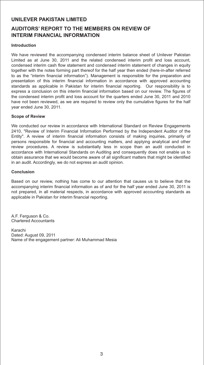# **AUDITORS' REPORT TO THE MEMBERS ON REVIEW OF INTERIM FINANCIAL INFORMATION**

#### **Introduction**

We have reviewed the accompanying condensed interim balance sheet of Unilever Pakistan Limited as at June 30, 2011 and the related condensed interim profit and loss account, condensed interim cash flow statement and condensed interim statement of changes in equity together with the notes forming part thereof for the half year then ended (here-in-after referred to as the "interim financial information"). Management is responsible for the preparation and presentation of this interim financial information in accordance with approved accounting standards as applicable in Pakistan for interim financial reporting. Our responsibility is to express a conclusion on this interim financial information based on our review. The figures of the condensed interim profit and loss account for the quarters ended June 30, 2011 and 2010 have not been reviewed, as we are required to review only the cumulative figures for the half year ended June 30, 2011.

#### **Scope of Review**

We conducted our review in accordance with International Standard on Review Engagements 2410, "Review of Interim Financial Information Performed by the Independent Auditor of the Entity". A review of interim financial information consists of making inquiries, primarily of persons responsible for financial and accounting matters, and applying analytical and other review procedures. A review is substantially less in scope than an audit conducted in accordance with International Standards on Auditing and consequently does not enable us to obtain assurance that we would become aware of all significant matters that might be identified in an audit. Accordingly, we do not express an audit opinion.

#### **Conclusion**

Based on our review, nothing has come to our attention that causes us to believe that the accompanying interim financial information as of and for the half year ended June 30, 2011 is not prepared, in all material respects, in accordance with approved accounting standards as applicable in Pakistan for interim financial reporting.

A.F. Ferguson & Co. Chartered Accountants

Karachi Dated: August 09, 2011 Name of the engagement partner: Ali Muhammad Mesia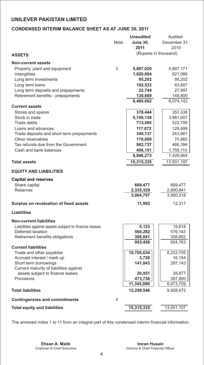# **CONDENSED INTERIM BALANCE SHEET AS AT JUNE 30, 2011**

|                                                                           | <b>Unaudited</b> |                 | Audited              |
|---------------------------------------------------------------------------|------------------|-----------------|----------------------|
|                                                                           | Note             | <b>June 30,</b> | December 31,         |
|                                                                           |                  | 2011            | 2010                 |
| <b>ASSETS</b>                                                             |                  |                 | (Rupees in thousand) |
|                                                                           |                  |                 |                      |
| <b>Non-current assets</b>                                                 |                  |                 |                      |
| Property, plant and equipment                                             | 3                | 5,097,020       | 4,897,171            |
| Intangibles                                                               |                  | 1,020,894       | 821,086              |
| Long term investments                                                     |                  | 95,202          | 95,202               |
| Long term loans                                                           |                  | 102,533         | 83,887               |
| Long term deposits and prepayments                                        |                  | 22,744          | 27,997               |
| Retirement benefits - prepayments                                         |                  | 130,669         | 148,800              |
|                                                                           |                  | 6,469,062       | 6,074,143            |
| <b>Current assets</b>                                                     |                  |                 |                      |
| Stores and spares                                                         |                  | 378,444         | 357,338              |
| Stock in trade                                                            |                  | 5,749,138       | 3,881,007            |
| <b>Trade debts</b>                                                        |                  | 713,585         | 522,795              |
| Loans and advances                                                        |                  | 117,072         | 126,699              |
| Trade deposits and short term prepayments                                 |                  | 349,137         | 243,661              |
| Other receivables                                                         |                  | 170,009         | 70,960               |
| Tax refunds due from the Government                                       |                  | 962,737         | 466,394              |
| Cash and bank balances                                                    |                  | 406,151         | 1,758,110            |
|                                                                           |                  | 8,846,273       | 7,426,964            |
| <b>Total assets</b>                                                       |                  | 15,315,335      | 13,501,107           |
|                                                                           |                  |                 |                      |
| <b>EQUITY AND LIABILITIES</b>                                             |                  |                 |                      |
| <b>Capital and reserves</b>                                               |                  |                 |                      |
| Share capital                                                             |                  | 669,477         | 669,477              |
| Reserves                                                                  |                  | 2,335,320       | 2,890,841            |
|                                                                           |                  | 3,004,797       | 3,560,318            |
|                                                                           |                  |                 |                      |
| Surplus on revaluation of fixed assets                                    |                  | 11,992          | 12,317               |
| <b>Liabilities</b>                                                        |                  |                 |                      |
|                                                                           |                  |                 |                      |
| <b>Non-current liabilities</b>                                            |                  |                 |                      |
| Liabilities against assets subject to finance leases<br>Deferred taxation |                  | 5,133           | 19,818               |
|                                                                           |                  | 560,282         | 576,143              |
| Retirement benefits obligations                                           |                  | 388,041         | 358,802              |
| <b>Current liabilities</b>                                                |                  | 953,456         | 954,763              |
| Trade and other payables                                                  |                  | 10,705,634      | 8,233,705            |
| Accrued interest / mark up                                                |                  | 3,726           | 16,184               |
| Short term borrowings                                                     |                  | 141,043         | 297,143              |
| Current maturity of liabilities against                                   |                  |                 |                      |
| assets subject to finance leases                                          |                  | 20,951          | 28,877               |
| Provisions                                                                |                  | 473,736         | 397,800              |
|                                                                           |                  | 11,345,090      | 8,973,709            |
| <b>Total liabilities</b>                                                  |                  | 12,298,546      | 9,928,472            |
|                                                                           |                  |                 |                      |
| <b>Contingencies and commitments</b>                                      | 4                |                 |                      |
| <b>Total equity and liabilities</b>                                       |                  | 15,315,335      | 13,501,107           |

The annexed notes 1 to 11 form an integral part of this condensed interim financial information.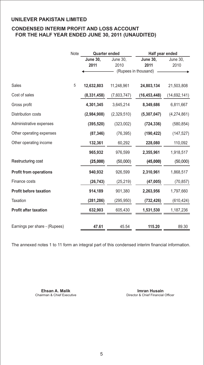# **CONDENSED INTERIM PROFIT AND LOSS ACCOUNT FOR THE HALF YEAR ENDED JUNE 30, 2011 (UNAUDITED)**

|                               | Note | <b>Quarter ended</b> |             | Half year ended      |              |  |
|-------------------------------|------|----------------------|-------------|----------------------|--------------|--|
|                               |      | <b>June 30,</b>      | June 30,    | <b>June 30,</b>      | June 30,     |  |
|                               |      | 2011                 | 2010        | 2011                 | 2010         |  |
|                               |      |                      |             | (Rupees in thousand) |              |  |
| <b>Sales</b>                  | 5    | 12,632,803           | 11,248,961  | 24,803,134           | 21,503,808   |  |
| Cost of sales                 |      | (8, 331, 458)        | (7,603,747) | (16, 453, 448)       | (14,692,141) |  |
| Gross profit                  |      | 4,301,345            | 3,645,214   | 8,349,686            | 6,811,667    |  |
| Distribution costs            |      | (2,984,908)          | (2,329,510) | (5,307,047)          | (4,274,861)  |  |
| Administrative expenses       |      | (395, 520)           | (323,002)   | (724, 336)           | (580, 854)   |  |
| Other operating expenses      |      | (87, 346)            | (76, 395)   | (190, 422)           | (147, 527)   |  |
| Other operating income        |      | 132,361              | 60,292      | 228,080              | 110,092      |  |
|                               |      | 965,932              | 976,599     | 2,355,961            | 1,918,517    |  |
| Restructuring cost            |      | (25,000)             | (50,000)    | (45,000)             | (50,000)     |  |
| <b>Profit from operations</b> |      | 940,932              | 926,599     | 2,310,961            | 1,868,517    |  |
| Finance costs                 |      | (26, 743)            | (25, 219)   | (47,005)             | (70, 857)    |  |
| <b>Profit before taxation</b> |      | 914,189              | 901,380     | 2,263,956            | 1,797,660    |  |
| Taxation                      |      | (281, 286)           | (295, 950)  | (732, 426)           | (610, 424)   |  |
| <b>Profit after taxation</b>  |      | 632,903              | 605,430     | 1,531,530            | 1,187,236    |  |
|                               |      |                      |             |                      |              |  |
| Earnings per share - (Rupees) |      | 47.61                | 45.54       | 115.20               | 89.30        |  |

The annexed notes 1 to 11 form an integral part of this condensed interim financial information.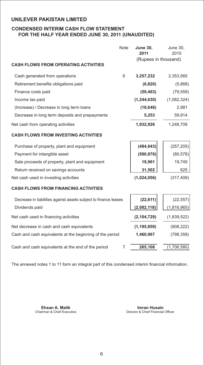# **CONDENSED INTERIM CASH FLOW STATEMENT FOR THE HALF YEAR ENDED JUNE 30, 2011 (UNAUDITED)**

|                                                                  | <b>Note</b> | <b>June 30,</b><br>2011 | <b>June 30,</b><br>2010 |
|------------------------------------------------------------------|-------------|-------------------------|-------------------------|
| <b>CASH FLOWS FROM OPERATING ACTIVITIES</b>                      |             | (Rupees in thousand)    |                         |
| Cash generated from operations                                   | 6           | 3,257,232               | 2,353,565               |
| Retirement benefits obligations paid                             |             | (6,820)                 | (5,868)                 |
| Finance costs paid                                               |             | (59, 463)               | (79, 559)               |
| Income tax paid                                                  |             | (1, 244, 630)           | (1,082,324)             |
| (Increase) / Decrease in long term loans                         |             | (18, 646)               | 2,981                   |
| Decrease in long term deposits and prepayments                   |             | 5,253                   | 59,914                  |
| Net cash from operating activities                               |             | 1,932,926               | 1,248,709               |
| <b>CASH FLOWS FROM INVESTING ACTIVITIES</b>                      |             |                         |                         |
| Purchase of property, plant and equipment                        |             | (484, 643)              | (257, 205)              |
| Payment for intangible asset                                     |             | (590, 876)              | (80, 578)               |
| Sale proceeds of property, plant and equipment                   |             | 19,961                  | 19,749                  |
| Return received on savings accounts                              |             | 31,502                  | 625                     |
| Net cash used in investing activities                            |             | (1,024,056)             | (317, 409)              |
| <b>CASH FLOWS FROM FINANCING ACTIVITIES</b>                      |             |                         |                         |
| Decrease in liabilities against assets subject to finance leases |             | (22, 611)               | (22, 557)               |
| Dividends paid                                                   |             | (2,082,118)             | (1,816,965)             |
| Net cash used in financing activities                            |             | (2, 104, 729)           | (1,839,522)             |
| Net decrease in cash and cash equivalents                        |             | (1, 195, 859)           | (908, 222)              |
| Cash and cash equivalents at the beginning of the period         |             | 1,460,967               | (798, 358)              |
| Cash and cash equivalents at the end of the period               | 7           | 265,108                 | (1,706,580)             |

The annexed notes 1 to 11 form an integral part of this condensed interim financial information.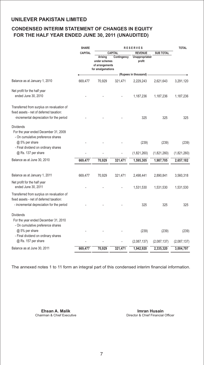# **CONDENSED INTERIM STATEMENT OF CHANGES IN EQUITY FOR THE HALF YEAR ENDED JUNE 30, 2011 (UNAUDITED)**

|                                                                                                                                     | <b>SHARE</b>   | <b>RESERVES</b>                                                  |                |                          |                  | <b>TOTAL</b> |
|-------------------------------------------------------------------------------------------------------------------------------------|----------------|------------------------------------------------------------------|----------------|--------------------------|------------------|--------------|
|                                                                                                                                     | <b>CAPITAL</b> |                                                                  | <b>CAPITAL</b> | <b>REVENUE</b>           | <b>SUB TOTAL</b> |              |
|                                                                                                                                     |                | Arising<br>under schemes<br>of arrangements<br>for amalgamations | Contingency    | Unappropriated<br>profit |                  |              |
|                                                                                                                                     |                |                                                                  |                | (Rupees in thousand)     |                  |              |
| Balance as at January 1, 2010                                                                                                       | 669,477        | 70,929                                                           | 321,471        | 2,229,243                | 2,621,643        | 3,291,120    |
| Net profit for the half year                                                                                                        |                |                                                                  |                |                          |                  |              |
| ended June 30, 2010                                                                                                                 |                |                                                                  |                | 1,187,236                | 1,187,236        | 1,187,236    |
| Transferred from surplus on revaluation of<br>fixed assets - net of deferred taxation:                                              |                |                                                                  |                |                          |                  |              |
| -incremental depreciation for the period                                                                                            |                |                                                                  |                | 325                      | 325              | 325          |
| <b>Dividends</b><br>For the year ended December 31, 2009<br>- On cumulative preference shares                                       |                |                                                                  |                |                          |                  |              |
| @ 5% per share<br>- Final dividend on ordinary shares                                                                               |                |                                                                  |                | (239)                    | (239)            | (239)        |
| @ Rs. 137 per share                                                                                                                 |                |                                                                  |                | (1,821,260)              | (1,821,260)      | (1,821,260)  |
| Balance as at June 30, 2010                                                                                                         | 669,477        | 70,929                                                           | 321,471        | 1,595,305                | 1,987,705        | 2,657,182    |
| Balance as at January 1, 2011                                                                                                       | 669,477        | 70,929                                                           | 321,471        | 2,498,441                | 2,890,841        | 3,560,318    |
| Net profit for the half year<br>ended June 30, 2011                                                                                 |                |                                                                  |                | 1,531,530                | 1,531,530        | 1,531,530    |
| Transferred from surplus on revaluation of<br>fixed assets - net of deferred taxation:<br>- incremental depreciation for the period |                |                                                                  |                | 325                      | 325              | 325          |
| <b>Dividends</b>                                                                                                                    |                |                                                                  |                |                          |                  |              |
| For the year ended December 31, 2010<br>- On cumulative preference shares<br>@ 5% per share                                         |                |                                                                  |                | (239)                    | (239)            | (239)        |
| - Final dividend on ordinary shares<br>@ Rs. 157 per share                                                                          |                |                                                                  |                | (2,087,137)              | (2,087,137)      | (2,087,137)  |
| Balance as at June 30, 2011                                                                                                         | 669,477        | 70,929                                                           | 321,471        | 1,942,920                | 2,335,320        | 3,004,797    |

The annexed notes 1 to 11 form an integral part of this condensed interim financial information.

**Ehsan A. Malik Imran Husain**

Chairman & Chief Executive **Director & Chief Financial Officer**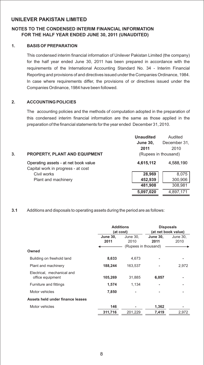### **NOTES TO THE CONDENSED INTERIM FINANCIAL INFORMATION FOR THE HALF YEAR ENDED JUNE 30, 2011 (UNAUDITED)**

#### **1. BASIS OF PREPARATION**

This condensed interim financial information of Unilever Pakistan Limited (the company) for the half year ended June 30, 2011 has been prepared in accordance with the requirements of the International Accounting Standard No. 34 - Interim Financial Reporting and provisions of and directives issued under the Companies Ordinance, 1984. In case where requirements differ, the provisions of or directives issued under the Companies Ordinance, 1984 have been followed.

#### **2. ACCOUNTING POLICIES**

The accounting policies and the methods of computation adopted in the preparation of this condensed interim financial information are the same as those applied in the preparation of the financial statements for the year ended December 31, 2010.

|    |                                      | <b>Unaudited</b> | Audited              |
|----|--------------------------------------|------------------|----------------------|
|    |                                      | <b>June 30,</b>  | December 31,         |
|    |                                      | 2011             | 2010                 |
| 3. | <b>PROPERTY, PLANT AND EQUIPMENT</b> |                  | (Rupees in thousand) |
|    | Operating assets - at net book value | 4,615,112        | 4,588,190            |
|    | Capital work in progress - at cost   |                  |                      |
|    | Civil works                          | 28.969           | 8,075                |
|    | Plant and machinery                  | 452,939          | 300,906              |
|    |                                      | 481,908          | 308,981              |
|    |                                      | 5,097,020        | 4,897,171            |

#### **3.1** Additions and disposals to operating assets during the period are as follows:

|                                                | <b>Additions</b><br>(at cost) |                      | <b>Disposals</b><br>(at net book value) |          |  |
|------------------------------------------------|-------------------------------|----------------------|-----------------------------------------|----------|--|
|                                                | <b>June 30.</b>               | <b>June 30.</b>      | <b>June 30.</b>                         | June 30, |  |
|                                                | 2011                          | 2010                 | 2011                                    | 2010     |  |
|                                                |                               | (Rupees in thousand) |                                         |          |  |
| Owned                                          |                               |                      |                                         |          |  |
| Building on freehold land                      | 8,633                         | 4.673                |                                         |          |  |
| Plant and machinery                            | 188,244                       | 163.537              |                                         | 2,972    |  |
| Electrical, mechanical and<br>office equipment | 105,269                       | 31.885               | 6,057                                   |          |  |
| Furniture and fittings                         | 1,574                         | 1.134                |                                         |          |  |
| Motor vehicles                                 | 7,850                         |                      |                                         |          |  |
| Assets held under finance leases               |                               |                      |                                         |          |  |
| Motor vehicles                                 | 146                           |                      | 1,362                                   |          |  |
|                                                | 311,716                       | 201,229              | 7,419                                   | 2,972    |  |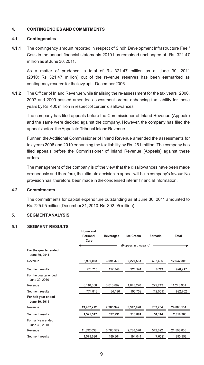#### **4. CONTINGENCIES AND COMMITMENTS**

#### **4.1 Contingencies**

**4.1.1** The contingency amount reported in respect of Sindh Development Infrastructure Fee / Cess in the annual financial statements 2010 has remained unchanged at Rs. 321.47 million as at June 30, 2011.

As a matter of prudence, a total of Rs 321.47 million as at June 30, 2011 (2010: Rs 321.47 million) out of the revenue reserves has been earmarked as contingency reserve for the levy uptill December 2006.

**4.1.2** The Officer of Inland Revenue while finalising the re-assessment for the tax years 2006, 2007 and 2009 passed amended assessment orders enhancing tax liability for these years by Rs. 400 million in respect of certain disallowances.

The company has filed appeals before the Commissioner of Inland Revenue (Appeals) and the same were decided against the company. However, the company has filed the appeals before the Appellate Tribunal Inland Revenue.

Further, the Additional Commissioner of Inland Revenue amended the assessments for tax years 2008 and 2010 enhancing the tax liability by Rs. 261 million. The company has filed appeals before the Commissioner of Inland Revenue (Appeals) against these orders.

The management of the company is of the view that the disallowances have been made erroneously and therefore, the ultimate decision in appeal will be in company's favour. No provision has, therefore, been made in the condensed interim financial information.

#### **4.2 Commitments**

The commitments for capital expenditure outstanding as at June 30, 2011 amounted to Rs. 725.95 million (December 31, 2010: Rs. 392.95 million).

#### **5. SEGMENT ANALYSIS**

#### **5.1 SEGMENT RESULTS**

|                                        | Home and<br>Personal<br>Care | <b>Beverages</b> | Ice Cream            | <b>Spreads</b> | Total      |
|----------------------------------------|------------------------------|------------------|----------------------|----------------|------------|
| For the quarter ended<br>June 30, 2011 |                              |                  | (Rupees in thousand) |                |            |
| Revenue                                | 6,909,068                    | 3,091,476        | 2,229,563            | 402,696        | 12,632,803 |
| Segment results                        | 570,715                      | 117,340          | 226,141              | 6,721          | 920,917    |
| For the quarter ended<br>June 30, 2010 |                              |                  |                      |                |            |
| Revenue                                | 6,110,556                    | 3,010,892        | 1,848,270            | 279,243        | 11.248.961 |
| Segment results                        | 774,818                      | 34,196           | 195,739              | (12,051)       | 992,702    |
| For half year ended<br>June 30, 2011   |                              |                  |                      |                |            |
| Revenue                                | 13,407,212                   | 7.285.342        | 3,347,826            | 762,754        | 24,803,134 |
| Segment results                        | 1,525,517                    | 527,791          | 213,881              | 51,114         | 2,318,303  |
| For half year ended<br>June 30, 2010   |                              |                  |                      |                |            |
| Revenue                                | 11.392.038                   | 6.780.572        | 2.788.576            | 542,622        | 21,503,808 |
| Segment results                        | 1.579.696                    | 189.864          | 194.044              | (7.652)        | 1,955,952  |
|                                        |                              |                  |                      |                |            |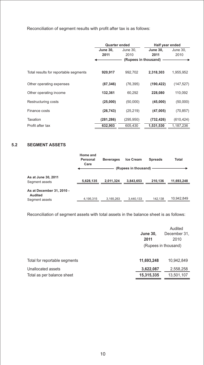Reconciliation of segment results with profit after tax is as follows:

|                                       | <b>Quarter ended</b> |                      | Half year ended |            |
|---------------------------------------|----------------------|----------------------|-----------------|------------|
|                                       | <b>June 30.</b>      | June 30.             | <b>June 30.</b> | June 30,   |
|                                       | 2011                 | 2010                 | 2011            | 2010       |
|                                       |                      | (Rupees in thousand) |                 |            |
|                                       |                      |                      |                 |            |
| Total results for reportable segments | 920,917              | 992.702              | 2,318,303       | 1,955,952  |
|                                       |                      |                      |                 |            |
| Other operating expenses              | (87, 346)            | (76, 395)            | (190, 422)      | (147, 527) |
|                                       |                      |                      |                 |            |
| Other operating income                | 132,361              | 60,292               | 228,080         | 110,092    |
| Restructuring costs                   | (25,000)             | (50,000)             | (45,000)        | (50,000)   |
|                                       |                      |                      |                 |            |
| Finance costs                         | (26, 743)            | (25, 219)            | (47,005)        | (70, 857)  |
| Taxation                              | (281, 286)           | (295, 950)           |                 |            |
|                                       |                      |                      | (732, 426)      | (610, 424) |
| Profit after tax                      | 632.903              | 605.430              | 1.531.530       | 1,187,236  |

# **5.2 SEGMENT ASSETS**

|                                                               | Home and<br>Personal<br>Care | <b>Beverages</b> | <b>Ice Cream</b><br>(Rupees in thousand) | <b>Spreads</b> | Total      |
|---------------------------------------------------------------|------------------------------|------------------|------------------------------------------|----------------|------------|
| As at June 30, 2011<br>Segment assets                         | 5,628,135                    | 2.011.324        | 3.843.653                                | 210.136        | 11,693,248 |
| As at December 31, 2010 -<br><b>Audited</b><br>Segment assets | 4.195.315                    | 3,165,263        | 3.440.133                                | 142.138        | 10.942.849 |

Reconciliation of segment assets with total assets in the balance sheet is as follows:

|                               |                 | Audited              |
|-------------------------------|-----------------|----------------------|
|                               | <b>June 30,</b> | December 31.         |
|                               | 2011            | 2010                 |
|                               |                 | (Rupees in thousand) |
| Total for reportable segments | 11,693,248      | 10,942,849           |
| Unallocated assets            | 3,622,087       | 2,558,258            |
| Total as per balance sheet    | 15,315,335      | 13,501,107           |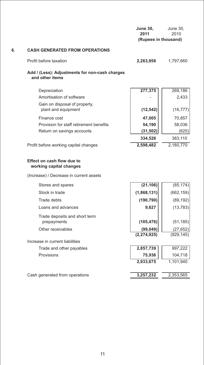|    |                                                                                       | <b>June 30,</b><br>2011<br>(Rupees in thousand) | June 30,<br>2010          |
|----|---------------------------------------------------------------------------------------|-------------------------------------------------|---------------------------|
| 6. | <b>CASH GENERATED FROM OPERATIONS</b>                                                 |                                                 |                           |
|    | Profit before taxation                                                                | 2,263,956                                       | 1,797,660                 |
|    | Add / (Less): Adjustments for non-cash charges<br>and other items                     |                                                 |                           |
|    | Depreciation<br>Amortisation of software                                              | 277,375                                         | 269,186<br>2,433          |
|    | Gain on disposal of property,<br>plant and equipment                                  | (12, 542)                                       | (16, 777)                 |
|    | Finance cost<br>Provision for staff retirement benefits<br>Return on savings accounts | 47,005<br>54,190<br>(31, 502)                   | 70,857<br>58,036<br>(625) |
|    | Profit before working capital changes                                                 | 334,526<br>2,598,482                            | 383,110<br>2,180,770      |
|    | <b>Effect on cash flow due to</b><br>working capital changes                          |                                                 |                           |
|    | (Increase) / Decrease in current assets                                               |                                                 |                           |
|    | Stores and spares                                                                     | (21, 106)                                       | (85, 174)                 |
|    | Stock in trade                                                                        | (1,868,131)                                     | (662, 159)                |
|    | Trade debts                                                                           | (190, 790)                                      | (89, 192)                 |
|    | Loans and advances                                                                    | 9,627                                           | (13, 783)                 |
|    | Trade deposits and short term<br>prepayments                                          | (105, 476)                                      | (51, 185)                 |
|    | Other receivables                                                                     | (99, 049)                                       | (27, 652)                 |
|    | Increase in current liabilities                                                       | (2, 274, 925)                                   | (929, 145)                |
|    | Trade and other payables                                                              | 2,857,739                                       | 997,222                   |
|    | Provisions                                                                            | 75,936                                          | 104,718                   |
|    |                                                                                       | 2,933,675                                       | 1,101,940                 |
|    | Cash generated from operations                                                        | 3,257,232                                       | 2,353,565                 |
|    |                                                                                       |                                                 |                           |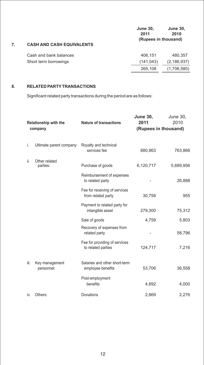|    |                                  | <b>June 30,</b><br>2011<br>(Rupees in thousand) | <b>June 30,</b><br>2010 |
|----|----------------------------------|-------------------------------------------------|-------------------------|
| 7. | <b>CASH AND CASH EQUIVALENTS</b> |                                                 |                         |
|    | Cash and bank balances           | 406.151                                         | 480,357                 |
|    | Short term borrowings            | (141, 043)                                      | (2, 186, 937)           |
|    |                                  | 265,108                                         | (1,706,580)             |
|    |                                  |                                                 |                         |

# **8. RELATED PARTYTRANSACTIONS**

Significant related party transactions during the period are as follows:

| <b>Relationship with the</b><br>company |                              | <b>Nature of transactions</b>                       | <b>June 30,</b><br>June 30,<br>2010<br>2011<br>(Rupees in thousand) |           |
|-----------------------------------------|------------------------------|-----------------------------------------------------|---------------------------------------------------------------------|-----------|
| i.                                      | Ultimate parent company:     | Royalty and technical<br>services fee               | 880,963                                                             | 763,866   |
| ii.                                     | Other related<br>parties:    | Purchase of goods                                   | 6,120,717                                                           | 5,689,956 |
|                                         |                              | Reimbursement of expenses<br>to related party       |                                                                     | 26,888    |
|                                         |                              | Fee for receiving of services<br>from related party | 30,758                                                              | 955       |
|                                         |                              | Payment to related party for<br>intangible asset    | 279,300                                                             | 75,312    |
|                                         |                              | Sale of goods                                       | 4,759                                                               | 5,803     |
|                                         |                              | Recovery of expenses from<br>related party          |                                                                     | 58,796    |
|                                         |                              | Fee for providing of services<br>to related parties | 124,717                                                             | 7,216     |
| iii.                                    | Key management<br>personnel: | Salaries and other short-term<br>employee benefits  | 53,706                                                              | 36,558    |
|                                         |                              | Post-employment<br>benefits                         | 4,892                                                               | 4,000     |
| İV.                                     | Others:                      | Donations                                           | 2,869                                                               | 2,276     |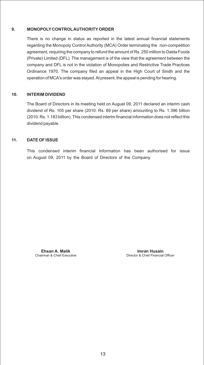#### **9. MONOPOLY CONTROLAUTHORITYORDER**

There is no change in status as reported in the latest annual financial statements regarding the Monopoly Control Authority (MCA) Order terminating the non-competition agreement, requiring the company to refund the amount of Rs. 250 million to Dalda Foods (Private) Limited (DFL). The management is of the view that the agreement between the company and DFL is not in the violation of Monopolies and Restrictive Trade Practices Ordinance 1970. The company filed an appeal in the High Court of Sindh and the operation of MCA's order was stayed. At present, the appeal is pending for hearing.

#### **10. INTERIM DIVIDEND**

The Board of Directors in its meeting held on August 09, 2011 declared an interim cash dividend of Rs. 105 per share (2010: Rs. 89 per share) amounting to Rs. 1.396 billion (2010: Rs. 1.183 billion). This condensed interim financial information does not reflect this dividend payable.

#### **11. DATE OF ISSUE**

This condensed interim financial information has been authorised for issue on August 09, 2011 by the Board of Directors of the Company.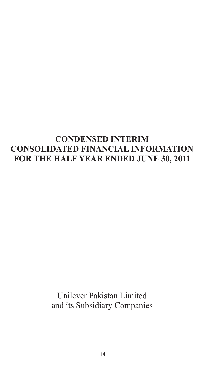# **CONDENSED INTERIM CONSOLIDATED FINANCIAL INFORMATION FOR THE HALF YEAR ENDED JUNE 30, 2011**

Unilever Pakistan Limited and its Subsidiary Companies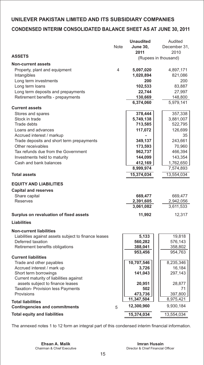# **CONDENSED INTERIM CONSOLIDATED BALANCE SHEET AS AT JUNE 30, 2011**

|                                                                                           |      | <b>Unaudited</b>                  | Audited                           |  |
|-------------------------------------------------------------------------------------------|------|-----------------------------------|-----------------------------------|--|
|                                                                                           | Note | <b>June 30,</b>                   | December 31,                      |  |
|                                                                                           |      | 2011                              | 2010                              |  |
| <b>ASSETS</b>                                                                             |      |                                   | (Rupees in thousand)              |  |
| <b>Non-current assets</b>                                                                 |      |                                   |                                   |  |
| Property, plant and equipment                                                             | 4    | 5,097,020                         | 4,897,171                         |  |
| Intangibles                                                                               |      | 1,020,894                         | 821,086                           |  |
| Long term investments                                                                     |      | 200                               | 200                               |  |
| Long term loans                                                                           |      | 102,533                           | 83,887                            |  |
| Long term deposits and prepayments                                                        |      | 22,744                            | 27,997                            |  |
| Retirement benefits - prepayments                                                         |      | 130,669                           | 148,800                           |  |
|                                                                                           |      | 6,374,060                         | 5,979,141                         |  |
| <b>Current assets</b>                                                                     |      |                                   |                                   |  |
| Stores and spares                                                                         |      | 378,444                           | 357,338                           |  |
| Stock in trade                                                                            |      | 5,749,138                         | 3,881,007                         |  |
| <b>Trade debts</b>                                                                        |      | 713,585                           | 522,795                           |  |
| Loans and advances                                                                        |      | 117,072                           | 126,699                           |  |
| Accrued interest / markup                                                                 |      |                                   | 35                                |  |
| Trade deposits and short term prepayments                                                 |      | 349,137                           | 243,661                           |  |
| Other receivables                                                                         |      | 173,593                           | 70,960                            |  |
| Tax refunds due from the Government                                                       |      | 962,737                           | 466,394                           |  |
| Investments held to maturity                                                              |      | 144,099                           | 143,354                           |  |
| Cash and bank balances                                                                    |      | 412,169                           | 1,762,650                         |  |
|                                                                                           |      | 8,999,974                         | 7,574,893                         |  |
| <b>Total assets</b>                                                                       |      | 15,374,034                        | 13,554,034                        |  |
| <b>EQUITY AND LIABILITIES</b><br><b>Capital and reserves</b><br>Share capital<br>Reserves |      | 669,477<br>2,391,605<br>3,061,082 | 669,477<br>2,942,056<br>3,611,533 |  |
| Surplus on revaluation of fixed assets                                                    |      | 11,992                            | 12,317                            |  |
| <b>Liabilities</b>                                                                        |      |                                   |                                   |  |
| <b>Non-current liabilities</b>                                                            |      |                                   |                                   |  |
| Liabilities against assets subject to finance leases                                      |      | 5,133                             | 19,818                            |  |
| Deferred taxation                                                                         |      | 560,282                           | 576,143                           |  |
| Retirement benefits obligations                                                           |      | 388,041                           | 358,802                           |  |
|                                                                                           |      | 953,456                           | 954,763                           |  |
| <b>Current liabilities</b>                                                                |      |                                   |                                   |  |
| Trade and other payables                                                                  |      | 10,707,546                        | 8,235,346                         |  |
| Accrued interest / mark up                                                                |      | 3,726                             | 16,184                            |  |
| Short term borrowings                                                                     |      | 141,043                           | 297,143                           |  |
| Current maturity of liabilities against                                                   |      |                                   |                                   |  |
| assets subject to finance leases                                                          |      | 20,951                            | 28,877                            |  |
| <b>Taxation- Provision less Payments</b>                                                  |      | 502                               | 71                                |  |
| Provisions                                                                                |      | 473,736                           | 397,800                           |  |
| <b>Total liabilities</b>                                                                  |      | 11,347,504                        | 8,975,421                         |  |
| <b>Contingencies and commitments</b>                                                      | 5    | 12,300,960                        | 9,930,184                         |  |
| <b>Total equity and liabilities</b>                                                       |      | 15,374,034                        | 13,554,034                        |  |

The annexed notes 1 to 12 form an integral part of this condensed interim financial information.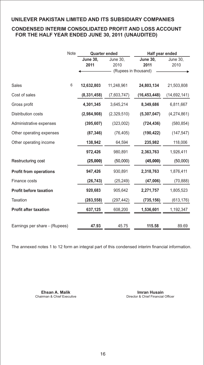# **CONDENSED INTERIM CONSOLIDATED PROFIT AND LOSS ACCOUNT FOR THE HALF YEAR ENDED JUNE 30, 2011 (UNAUDITED)**

|                               | Note | <b>Quarter ended</b> |                      | Half year ended |                |
|-------------------------------|------|----------------------|----------------------|-----------------|----------------|
|                               |      | <b>June 30,</b>      | June 30,             | <b>June 30,</b> | June 30,       |
|                               |      | 2011                 | 2010                 | 2011            | 2010           |
|                               |      |                      | (Rupees in thousand) |                 |                |
|                               |      |                      |                      |                 |                |
| Sales                         | 6    | 12,632,803           | 11,248,961           | 24,803,134      | 21,503,808     |
| Cost of sales                 |      | (8, 331, 458)        | (7,603,747)          | (16, 453, 448)  | (14, 692, 141) |
| Gross profit                  |      | 4,301,345            | 3,645,214            | 8,349,686       | 6,811,667      |
| Distribution costs            |      | (2,984,908)          | (2,329,510)          | (5,307,047)     | (4, 274, 861)  |
| Administrative expenses       |      | (395, 607)           | (323,002)            | (724, 436)      | (580, 854)     |
| Other operating expenses      |      | (87, 346)            | (76, 405)            | (190, 422)      | (147, 547)     |
| Other operating income        |      | 138,942              | 64,594               | 235,982         | 118,006        |
|                               |      | 972,426              | 980,891              | 2,363,763       | 1,926,411      |
| Restructuring cost            |      | (25,000)             | (50,000)             | (45,000)        | (50,000)       |
| <b>Profit from operations</b> |      | 947,426              | 930,891              | 2,318,763       | 1,876,411      |
| Finance costs                 |      | (26, 743)            | (25, 249)            | (47,006)        | (70, 888)      |
| <b>Profit before taxation</b> |      | 920,683              | 905,642              | 2,271,757       | 1,805,523      |
| Taxation                      |      | (283, 558)           | (297,442)            | (735, 156)      | (613, 176)     |
| <b>Profit after taxation</b>  |      | 637,125              | 608,200              | 1,536,601       | 1,192,347      |
|                               |      |                      |                      |                 |                |
| Earnings per share - (Rupees) |      | 47.93                | 45.75                | 115.58          | 89.69          |

The annexed notes 1 to 12 form an integral part of this condensed interim financial information.

**Ehsan A. Malik Imran Husain**<br>Chairman & Chief Executive **Internal A. A. Malian Chairman & Chief Executive Immedial** 

Director & Chief Financial Officer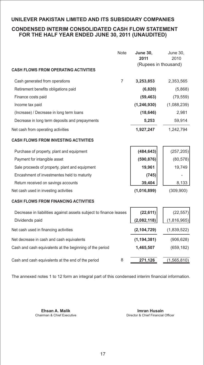# **CONDENSED INTERIM CONSOLIDATED CASH FLOW STATEMENT FOR THE HALF YEAR ENDED JUNE 30, 2011 (UNAUDITED)**

|                                                                  | <b>Note</b> | <b>June 30,</b><br>2011 | June 30,<br>2010 |
|------------------------------------------------------------------|-------------|-------------------------|------------------|
| <b>CASH FLOWS FROM OPERATING ACTIVITIES</b>                      |             | (Rupees in thousand)    |                  |
| Cash generated from operations                                   | 7           | 3,253,853               | 2,353,565        |
| Retirement benefits obligations paid                             |             | (6,820)                 | (5,868)          |
| Finance costs paid                                               |             | (59, 463)               | (79, 559)        |
| Income tax paid                                                  |             | (1, 246, 930)           | (1,088,239)      |
| (Increase) / Decrease in long term loans                         |             | (18, 646)               | 2,981            |
| Decrease in long term deposits and prepayments                   |             | 5,253                   | 59,914           |
| Net cash from operating activities                               |             | 1,927,247               | 1,242,794        |
| <b>CASH FLOWS FROM INVESTING ACTIVITIES</b>                      |             |                         |                  |
| Purchase of property, plant and equipment                        |             | (484, 643)              | (257, 205)       |
| Payment for intangible asset                                     |             | (590, 876)              | (80, 578)        |
| Sale proceeds of property, plant and equipment                   |             | 19,961                  | 19,749           |
| Encashment of investmentes held to maturity                      |             | (745)                   |                  |
| Return received on savings accounts                              |             | 39,404                  | 8,133            |
| Net cash used in investing activities                            |             | (1,016,899)             | (309,900)        |
| <b>CASH FLOWS FROM FINANCING ACTIVITIES</b>                      |             |                         |                  |
| Decrease in liabilities against assets subject to finance leases |             | (22, 611)               | (22, 557)        |
| Dividends paid                                                   |             | (2,082,118)             | (1,816,965)      |
| Net cash used in financing activities                            |             | (2, 104, 729)           | (1,839,522)      |
| Net decrease in cash and cash equivalents                        |             | (1, 194, 381)           | (906, 628)       |
| Cash and cash equivalents at the beginning of the period         |             | 1,465,507               | (659, 182)       |
| Cash and cash equivalents at the end of the period               | 8           | 271,126                 | (1, 565, 810)    |
|                                                                  |             |                         |                  |

The annexed notes 1 to 12 form an integral part of this condensed interim financial information.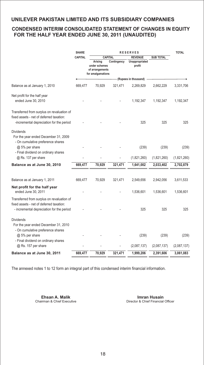# **CONDENSED INTERIM CONSOLIDATED STATEMENT OF CHANGES IN EQUITY FOR THE HALF YEAR ENDED JUNE 30, 2011 (UNAUDITED)**

|                                                                                                                                     | <b>SHARE</b>   | <b>RESERVES</b>                                                  |             |                          | <b>TOTAL</b>     |             |
|-------------------------------------------------------------------------------------------------------------------------------------|----------------|------------------------------------------------------------------|-------------|--------------------------|------------------|-------------|
|                                                                                                                                     | <b>CAPITAL</b> | <b>CAPITAL</b>                                                   |             | <b>REVENUE</b>           | <b>SUB TOTAL</b> |             |
|                                                                                                                                     |                | Arising<br>under schemes<br>of arrangements<br>for amalgamations | Contingency | Unappropriated<br>profit |                  |             |
|                                                                                                                                     |                |                                                                  |             | (Rupees in thousand)     |                  |             |
| Balance as at January 1, 2010                                                                                                       | 669.477        | 70,929                                                           | 321.471     | 2,269,829                | 2,662,229        | 3,331,706   |
| Net profit for the half year<br>ended June 30, 2010                                                                                 |                |                                                                  |             | 1,192,347                | 1,192,347        | 1,192,347   |
| Transferred from surplus on revaluation of<br>fixed assets - net of deferred taxation:<br>-incremental depreciation for the period  |                |                                                                  |             | 325                      | 325              | 325         |
| <b>Dividends</b><br>For the year ended December 31, 2009<br>- On cumulative preference shares<br>@ 5% per share                     |                |                                                                  |             | (239)                    | (239)            | (239)       |
| - Final dividend on ordinary shares<br>@ Rs. 137 per share                                                                          |                |                                                                  |             | (1,821,260)              | (1,821,260)      | (1,821,260) |
| Balance as at June 30, 2010                                                                                                         | 669,477        | 70,929                                                           | 321,471     | 1,641,002                | 2,033,402        | 2,702,879   |
| Balance as at January 1, 2011                                                                                                       | 669,477        | 70,929                                                           | 321,471     | 2,549,656                | 2,942,056        | 3,611,533   |
| Net profit for the half year<br>ended June 30, 2011                                                                                 |                |                                                                  |             | 1,536,601                | 1,536,601        | 1,536,601   |
| Transferred from surplus on revaluation of<br>fixed assets - net of deferred taxation:<br>- incremental depreciation for the period |                |                                                                  |             | 325                      | 325              | 325         |
| <b>Dividends</b><br>For the year ended December 31, 2010<br>- On cumulative preference shares<br>@ 5% per share                     |                |                                                                  |             | (239)                    | (239)            | (239)       |
| - Final dividend on ordinary shares<br>@ Rs. 157 per share                                                                          |                |                                                                  |             | (2,087,137)              | (2,087,137)      | (2,087,137) |
| Balance as at June 30, 2011                                                                                                         | 669,477        | 70,929                                                           | 321,471     | 1,999,206                | 2,391,606        | 3,061,083   |

The annexed notes 1 to 12 form an integral part of this condensed interim financial information.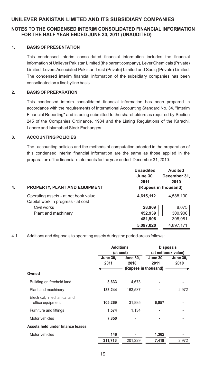# **NOTES TO THE CONDENSED INTERIM CONSOLIDATED FINANCIAL INFORMATION FOR THE HALF YEAR ENDED JUNE 30, 2011 (UNAUDITED)**

#### **1. BASIS OF PRESENTATION**

This condensed interim consolidated financial information includes the financial information of Unilever Pakistan Limited (the parent company), Lever Chemicals (Private) Limited, Levers Associated Pakistan Trust (Private) Limited and Sadiq (Private) Limited. The condensed interim financial information of the subsidiary companies has been consolidated on a line by line basis.

#### **2. BASIS OF PREPARATION**

This condensed interim consolidated financial information has been prepared in accordance with the requirements of International Accounting Standard No. 34, "Interim Financial Reporting" and is being submitted to the shareholders as required by Section 245 of the Companies Ordinance, 1984 and the Listing Regulations of the Karachi, Lahore and Islamabad Stock Exchanges.

#### **3. ACCOUNTING POLICIES**

The accounting policies and the methods of computation adopted in the preparation of this condensed interim financial information are the same as those applied in the preparation of the financial statements for the year ended December 31, 2010.

| 4. | <b>PROPERTY, PLANT AND EQUIPMENT</b>                                       | <b>Unaudited</b><br><b>June 30,</b><br>2011 | <b>Audited</b><br>December 31,<br>2010<br>(Rupees in thousand) |
|----|----------------------------------------------------------------------------|---------------------------------------------|----------------------------------------------------------------|
|    | Operating assets - at net book value<br>Capital work in progress - at cost | 4,615,112                                   | 4,588,190                                                      |
|    | Civil works                                                                | 28,969                                      | 8,075                                                          |
|    | Plant and machinery                                                        | 452,939                                     | 300,906                                                        |
|    |                                                                            | 481,908                                     | 308,981                                                        |
|    |                                                                            | 5,097,020                                   | 4.897.171                                                      |

4.1 Additions and disposals to operating assets during the period are as follows:

|                                                |                         | <b>Additions</b><br>(at cost) |                         | <b>Disposals</b><br>(at net book value) |
|------------------------------------------------|-------------------------|-------------------------------|-------------------------|-----------------------------------------|
|                                                | <b>June 30,</b><br>2011 | <b>June 30,</b><br>2010       | <b>June 30,</b><br>2011 | <b>June 30,</b><br>2010                 |
| Owned                                          |                         |                               | (Rupees in thousand)    |                                         |
| Building on freehold land                      | 8,633                   | 4,673                         |                         |                                         |
| Plant and machinery                            | 188,244                 | 163,537                       |                         | 2,972                                   |
| Electrical, mechanical and<br>office equipment | 105,269                 | 31,885                        | 6,057                   |                                         |
| Furniture and fittings                         | 1,574                   | 1,134                         |                         |                                         |
| Motor vehicles                                 | 7,850                   |                               |                         |                                         |
| Assets held under finance leases               |                         |                               |                         |                                         |
| Motor vehicles                                 | 146                     |                               | 1,362                   |                                         |
|                                                | 311,716                 | 201,229                       | 7,419                   | 2,972                                   |
|                                                |                         |                               |                         |                                         |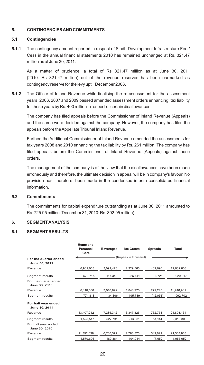#### **5. CONTINGENCIES AND COMMITMENTS**

#### **5.1 Contingencies**

**5.1.1** The contingency amount reported in respect of Sindh Development Infrastructure Fee / Cess in the annual financial statements 2010 has remained unchanged at Rs. 321.47 million as at June 30, 2011.

As a matter of prudence, a total of Rs 321.47 million as at June 30, 2011 (2010: Rs 321.47 million) out of the revenue reserves has been earmarked as contingency reserve for the levy uptill December 2006.

**5.1.2** The Officer of Inland Revenue while finalising the re-assessment for the assessment years 2006, 2007 and 2009 passed amended assessment orders enhancing tax liability for these years by Rs. 400 million in respect of certain disallowances.

The company has filed appeals before the Commissioner of Inland Revenue (Appeals) and the same were decided against the company. However, the company has filed the appeals before the Appellate Tribunal Inland Revenue.

Further, the Additional Commissioner of Inland Revenue amended the assessments for tax years 2008 and 2010 enhancing the tax liability by Rs. 261 million. The company has filed appeals before the Commissioner of Inland Revenue (Appeals) against these orders.

The management of the company is of the view that the disallowances have been made erroneously and therefore, the ultimate decision in appeal will be in company's favour. No provision has, therefore, been made in the condensed interim consolidated financial information.

#### **5.2 Commitments**

The commitments for capital expenditure outstanding as at June 30, 2011 amounted to Rs. 725.95 million (December 31, 2010: Rs. 392.95 million).

#### **6. SEGMENT ANALYSIS**

#### **6.1 SEGMENT RESULTS**

|                                        | Home and<br>Personal<br>Care | <b>Beverages</b> | <b>Ice Cream</b>     | <b>Spreads</b> | Total      |
|----------------------------------------|------------------------------|------------------|----------------------|----------------|------------|
| For the quarter ended<br>June 30, 2011 |                              |                  | (Rupees in thousand) |                |            |
| Revenue                                | 6,909,068                    | 3,091,476        | 2,229,563            | 402,696        | 12,632,803 |
| Segment results                        | 570,715                      | 117,340          | 226,141              | 6,721          | 920,917    |
| For the quarter ended<br>June 30, 2010 |                              |                  |                      |                |            |
| Revenue                                | 6,110,556                    | 3,010,892        | 1.848.270            | 279,243        | 11,248,961 |
| Segment results                        | 774,818                      | 34,196           | 195,739              | (12,051)       | 992,702    |
| For half year ended<br>June 30, 2011   |                              |                  |                      |                |            |
| Revenue                                | 13,407,212                   | 7,285,342        | 3,347,826            | 762,754        | 24,803,134 |
| Segment results                        | 1,525,517                    | 527,791          | 213,881              | 51,114         | 2,318,303  |
| For half year ended<br>June 30, 2010   |                              |                  |                      |                |            |
| Revenue                                | 11,392,038                   | 6,780,572        | 2,788,576            | 542,622        | 21,503,808 |
| Segment results                        | 1,579,696                    | 189,864          | 194,044              | (7,652)        | 1,955,952  |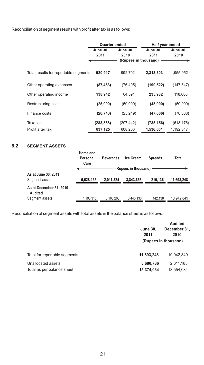Reconciliation of segment results with profit after tax is as follows:

|                                       | <b>Quarter ended</b> |                      | Half year ended |                 |  |  |
|---------------------------------------|----------------------|----------------------|-----------------|-----------------|--|--|
|                                       | <b>June 30,</b>      | <b>June 30,</b>      | <b>June 30,</b> | <b>June 30,</b> |  |  |
|                                       | 2011                 | 2010                 | 2011            | 2010            |  |  |
|                                       |                      | (Rupees in thousand) |                 |                 |  |  |
|                                       |                      |                      |                 |                 |  |  |
| Total results for reportable segments | 920,917              | 992.702              | 2,318,303       | 1,955,952       |  |  |
|                                       |                      |                      |                 |                 |  |  |
|                                       | (87, 433)            | (76, 405)            | (190, 522)      |                 |  |  |
| Other operating expenses              |                      |                      |                 | (147, 547)      |  |  |
| Other operating income                | 138,942              | 64.594               | 235,982         | 118,006         |  |  |
|                                       |                      |                      |                 |                 |  |  |
| Restructuring costs                   | (25,000)             | (50,000)             | (45,000)        | (50,000)        |  |  |
|                                       |                      |                      |                 |                 |  |  |
| Finance costs                         | (26, 743)            | (25, 249)            | (47,006)        | (70, 888)       |  |  |
|                                       |                      |                      |                 |                 |  |  |
| Taxation                              | (283, 558)           | (297, 442)           | (735, 156)      | (613, 176)      |  |  |
| Profit after tax                      | 637,125              | 608,200              | 1,536,601       | 1,192,347       |  |  |

# **6.2 SEGMENT ASSETS**

| Care                                                                                    |            |
|-----------------------------------------------------------------------------------------|------------|
| (Rupees in thousand)                                                                    |            |
| As at June 30, 2011<br>5,628,135<br>2.011.324<br>3,843,653<br>210.136<br>Segment assets | 11,693,248 |
| As at December 31, 2010 -<br>Audited                                                    |            |
| Segment assets<br>142,138<br>3,440,133<br>4,195,315<br>3,165,263                        | 10,942,849 |

Reconciliation of segment assets with total assets in the balance sheet is as follows:

|                               | <b>June 30,</b><br>2011 | <b>Audited</b><br>December 31,<br>2010 |  |
|-------------------------------|-------------------------|----------------------------------------|--|
|                               | (Rupees in thousand)    |                                        |  |
| Total for reportable segments | 11,693,248              | 10,942,849                             |  |
| Unallocated assets            | 3,680,786               | 2,611,185                              |  |
| Total as per balance sheet    | 15,374,034              | 13,554,034                             |  |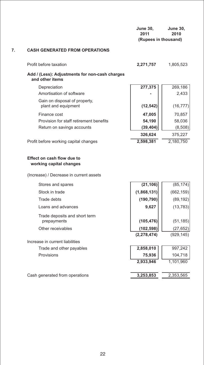|    |                                                                    | <b>June 30,</b><br>2011<br>(Rupees in thousand) | <b>June 30,</b><br>2010 |
|----|--------------------------------------------------------------------|-------------------------------------------------|-------------------------|
| 7. | <b>CASH GENERATED FROM OPERATIONS</b>                              |                                                 |                         |
|    | Profit before taxation                                             | 2,271,757                                       | 1,805,523               |
|    | Add / (Less): Adjustments for non-cash charges<br>and other items  |                                                 |                         |
|    | Depreciation<br>Amortisation of software                           | 277,375                                         | 269,186<br>2,433        |
|    | Gain on disposal of property,<br>plant and equipment               | (12, 542)                                       | (16, 777)               |
|    | Finance cost                                                       | 47,005                                          | 70,857                  |
|    | Provision for staff retirement benefits                            | 54,190                                          | 58,036                  |
|    | Return on savings accounts                                         | (39, 404)                                       | (8,508)                 |
|    |                                                                    | 326,624                                         | 375,227                 |
|    | Profit before working capital changes                              | 2,598,381                                       | 2,180,750               |
|    | working capital changes<br>(Increase) / Decrease in current assets |                                                 |                         |
|    | Stores and spares                                                  | (21, 106)                                       | (85, 174)               |
|    | Stock in trade                                                     | (1,868,131)                                     | (662, 159)              |
|    | Trade debts                                                        | (190, 790)                                      | (89, 192)               |
|    | Loans and advances                                                 | 9,627                                           | (13, 783)               |
|    | Trade deposits and short term<br>prepayments                       | (105, 476)                                      | (51, 185)               |
|    | Other receivables                                                  | (102, 598)                                      | (27, 652)               |
|    |                                                                    | (2, 278, 474)                                   | (929, 145)              |
|    | Increase in current liabilities                                    |                                                 |                         |
|    | Trade and other payables                                           | 2,858,010                                       | 997,242                 |
|    | Provisions                                                         | 75,936                                          | 104,718                 |
|    |                                                                    | 2,933,946                                       | 1,101,960               |
|    | Cash generated from operations                                     | 3,253,853                                       | 2,353,565               |
|    |                                                                    |                                                 |                         |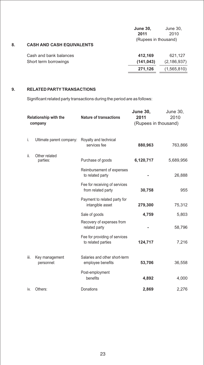|    |                                  | <b>June 30,</b>      | June 30,      |
|----|----------------------------------|----------------------|---------------|
|    |                                  | 2011                 | 2010          |
|    |                                  | (Rupees in thousand) |               |
| 8. | <b>CASH AND CASH EQUIVALENTS</b> |                      |               |
|    | Cash and bank balances           | 412,169              | 621,127       |
|    | Short term borrowings            | (141, 043)           | (2, 186, 937) |
|    |                                  | 271,126              | (1,565,810)   |

#### **9. RELATED PARTYTRANSACTIONS**

Significant related party transactions during the period are as follows:

| <b>Relationship with the</b><br>company |                              | <b>Nature of transactions</b>                       | <b>June 30,</b><br>2011 | June 30,<br>2010 |
|-----------------------------------------|------------------------------|-----------------------------------------------------|-------------------------|------------------|
|                                         |                              |                                                     | (Rupees in thousand)    |                  |
|                                         |                              |                                                     |                         |                  |
| i.                                      | Ultimate parent company:     | Royalty and technical<br>services fee               | 880,963                 | 763,866          |
| ii.                                     | Other related<br>parties:    | Purchase of goods                                   | 6,120,717               | 5,689,956        |
|                                         |                              | Reimbursement of expenses<br>to related party       |                         | 26,888           |
|                                         |                              | Fee for receiving of services<br>from related party | 30,758                  | 955              |
|                                         |                              | Payment to related party for<br>intangible asset    | 279,300                 | 75,312           |
|                                         |                              | Sale of goods                                       | 4,759                   | 5,803            |
|                                         |                              | Recovery of expenses from<br>related party          |                         | 58,796           |
|                                         |                              | Fee for providing of services<br>to related parties | 124,717                 | 7,216            |
| iii.                                    | Key management<br>personnel: | Salaries and other short-term<br>employee benefits  | 53,706                  | 36,558           |
|                                         |                              | Post-employment<br>benefits                         | 4,892                   | 4,000            |
| İV.                                     | Others:                      | Donations                                           | 2,869                   | 2,276            |